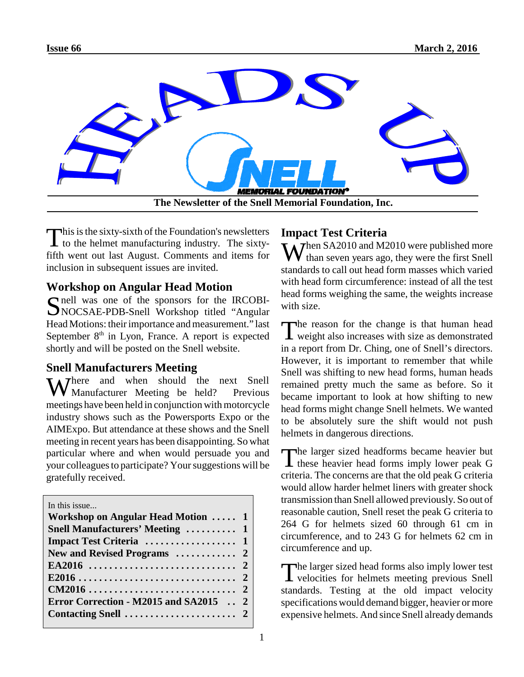

This is the sixty-sixth of the Foundation's newsletters<br>to the helmet manufacturing industry. The sixty- $\blacksquare$  to the helmet manufacturing industry. The sixtyfifth went out last August. Comments and items for inclusion in subsequent issues are invited.

# **Workshop on Angular Head Motion**

Simell was one of the sponsors for the IRCOBI-<br>NOCSAE-PDB-Snell Workshop titled "Angular NOCSAE-PDB-Snell Workshop titled "Angular Head Motions: their importance and measurement." last September  $8<sup>th</sup>$  in Lyon, France. A report is expected shortly and will be posted on the Snell website.

### **Snell Manufacturers Meeting**

Where and when should the next Snell<br>We Manufacturer Meeting be held? Previous Manufacturer Meeting be held? meetings have been held in conjunction with motorcycle industry shows such as the Powersports Expo or the AIMExpo. But attendance at these shows and the Snell meeting in recent years has been disappointing. So what particular where and when would persuade you and your colleagues to participate? Your suggestions will be gratefully received.

In this issue.

| $111 \cup 1110 \cup 00110$             |  |
|----------------------------------------|--|
| Workshop on Angular Head Motion  1     |  |
| <b>Snell Manufacturers' Meeting  1</b> |  |
|                                        |  |
|                                        |  |
|                                        |  |
|                                        |  |
|                                        |  |
| Error Correction - M2015 and SA2015  2 |  |
|                                        |  |
|                                        |  |

## **Impact Test Criteria**

 $W_{\text{theo}}^{\text{hen SA2010}}$  and M2010 were published more than seven years ago, they were the first Snell standards to call out head form masses which varied with head form circumference: instead of all the test head forms weighing the same, the weights increase with size.

The reason for the change is that human head<br>weight also increases with size as demonstrated **L** weight also increases with size as demonstrated in a report from Dr. Ching, one of Snell's directors. However, it is important to remember that while Snell was shifting to new head forms, human heads remained pretty much the same as before. So it became important to look at how shifting to new head forms might change Snell helmets. We wanted to be absolutely sure the shift would not push helmets in dangerous directions.

The larger sized headforms became heavier but<br>these heavier head forms imply lower peak G **L** these heavier head forms imply lower peak G criteria. The concerns are that the old peak G criteria would allow harder helmet liners with greater shock transmission than Snell allowed previously. So out of reasonable caution, Snell reset the peak G criteria to 264 G for helmets sized 60 through 61 cm in circumference, and to 243 G for helmets 62 cm in circumference and up.

The larger sized head forms also imply lower test<br>velocities for helmets meeting previous Snell velocities for helmets meeting previous Snell standards. Testing at the old impact velocity specifications would demand bigger, heavier or more expensive helmets. And since Snell already demands